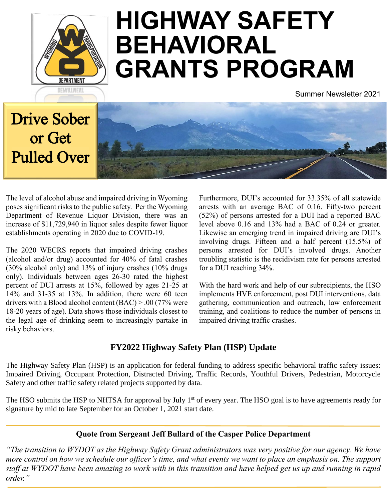

# **HIGHWAY SAFETY BEHAVIORAL GRANTS PROGRAM**

Summer Newsletter 2021

## Drive Sober or Get Pulled Over



The level of alcohol abuse and impaired driving in Wyoming poses significant risks to the public safety. Per the Wyoming Department of Revenue Liquor Division, there was an increase of \$11,729,940 in liquor sales despite fewer liquor establishments operating in 2020 due to COVID-19.

The 2020 WECRS reports that impaired driving crashes (alcohol and/or drug) accounted for 40% of fatal crashes (30% alcohol only) and 13% of injury crashes (10% drugs only). Individuals between ages 26-30 rated the highest percent of DUI arrests at 15%, followed by ages 21-25 at 14% and 31-35 at 13%. In addition, there were 60 teen drivers with a Blood alcohol content (BAC) > .00 (77% were 18-20 years of age). Data shows those individuals closest to the legal age of drinking seem to increasingly partake in risky behaviors.

Furthermore, DUI's accounted for 33.35% of all statewide arrests with an average BAC of 0.16. Fifty-two percent (52%) of persons arrested for a DUI had a reported BAC level above 0.16 and 13% had a BAC of 0.24 or greater. Likewise an emerging trend in impaired driving are DUI's involving drugs. Fifteen and a half percent (15.5%) of persons arrested for DUI's involved drugs. Another troubling statistic is the recidivism rate for persons arrested for a DUI reaching 34%.

With the hard work and help of our subrecipients, the HSO implements HVE enforcement, post DUI interventions, data gathering, communication and outreach, law enforcement training, and coalitions to reduce the number of persons in impaired driving traffic crashes.

## **FY2022 Highway Safety Plan (HSP) Update**

The Highway Safety Plan (HSP) is an application for federal funding to address specific behavioral traffic safety issues: Impaired Driving, Occupant Protection, Distracted Driving, Traffic Records, Youthful Drivers, Pedestrian, Motorcycle Safety and other traffic safety related projects supported by data.

The HSO submits the HSP to NHTSA for approval by July 1<sup>st</sup> of every year. The HSO goal is to have agreements ready for signature by mid to late September for an October 1, 2021 start date.

## **Quote from Sergeant Jeff Bullard of the Casper Police Department**

*"The transition to WYDOT as the Highway Safety Grant administrators was very positive for our agency. We have more control on how we schedule our officer's time, and what events we want to place an emphasis on. The support staff at WYDOT have been amazing to work with in this transition and have helped get us up and running in rapid order."*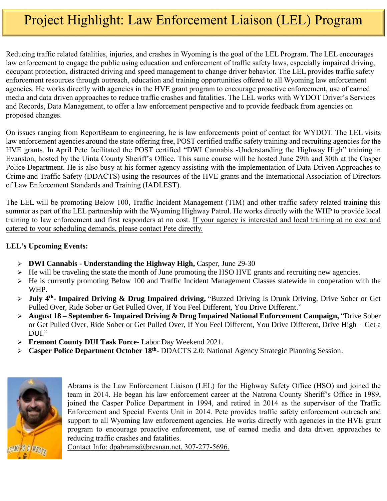## Project Highlight: Law Enforcement Liaison (LEL) Program

Reducing traffic related fatalities, injuries, and crashes in Wyoming is the goal of the LEL Program. The LEL encourages law enforcement to engage the public using education and enforcement of traffic safety laws, especially impaired driving, occupant protection, distracted driving and speed management to change driver behavior. The LEL provides traffic safety enforcement resources through outreach, education and training opportunities offered to all Wyoming law enforcement agencies. He works directly with agencies in the HVE grant program to encourage proactive enforcement, use of earned media and data driven approaches to reduce traffic crashes and fatalities. The LEL works with WYDOT Driver's Services and Records, Data Management, to offer a law enforcement perspective and to provide feedback from agencies on proposed changes.

On issues ranging from ReportBeam to engineering, he is law enforcements point of contact for WYDOT. The LEL visits law enforcement agencies around the state offering free, POST certified traffic safety training and recruiting agencies for the HVE grants. In April Pete facilitated the POST certified "DWI Cannabis -Understanding the Highway High" training in Evanston, hosted by the Uinta County Sheriff's Office. This same course will be hosted June 29th and 30th at the Casper Police Department. He is also busy at his former agency assisting with the implementation of Data-Driven Approaches to Crime and Traffic Safety (DDACTS) using the resources of the HVE grants and the International Association of Directors of Law Enforcement Standards and Training (IADLEST).

The LEL will be promoting Below 100, Traffic Incident Management (TIM) and other traffic safety related training this summer as part of the LEL partnership with the Wyoming Highway Patrol. He works directly with the WHP to provide local training to law enforcement and first responders at no cost. If your agency is interested and local training at no cost and catered to your scheduling demands, please contact Pete directly.

#### **LEL's Upcoming Events:**

- **DWI Cannabis - Understanding the Highway High,** Casper, June 29-30
- $\triangleright$  He will be traveling the state the month of June promoting the HSO HVE grants and recruiting new agencies.
- He is currently promoting Below 100 and Traffic Incident Management Classes statewide in cooperation with the WHP.
- **July 4th - Impaired Driving & Drug Impaired driving,** "Buzzed Driving Is Drunk Driving, Drive Sober or Get Pulled Over, Ride Sober or Get Pulled Over, If You Feel Different, You Drive Different."
- **August 18 – September 6- Impaired Driving & Drug Impaired National Enforcement Campaign,** "Drive Sober or Get Pulled Over, Ride Sober or Get Pulled Over, If You Feel Different, You Drive Different, Drive High – Get a DUI."
- **Fremont County DUI Task Force** Labor Day Weekend 2021.
- **Casper Police Department October 18<sup>th</sup>-** DDACTS 2.0: National Agency Strategic Planning Session.



Abrams is the Law Enforcement Liaison (LEL) for the Highway Safety Office (HSO) and joined the team in 2014. He began his law enforcement career at the Natrona County Sheriff's Office in 1989, joined the Casper Police Department in 1994, and retired in 2014 as the supervisor of the Traffic Enforcement and Special Events Unit in 2014. Pete provides traffic safety enforcement outreach and support to all Wyoming law enforcement agencies. He works directly with agencies in the HVE grant program to encourage proactive enforcement, use of earned media and data driven approaches to reducing traffic crashes and fatalities.

Contact Info: dpabrams@bresnan.net, 307-277-5696.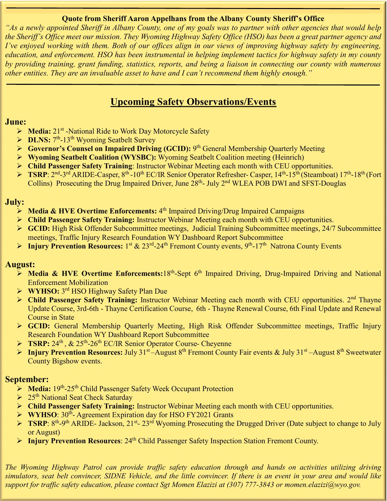#### **Quote from Sheriff Aaron Appelhans from the Albany County Sheriff's Office**

*"As a newly appointed Sheriff in Albany County, one of my goals was to partner with other agencies that would help the Sheriff's Office meet our mission. They Wyoming Highway Safety Office (HSO) has been a great partner agency and I've enjoyed working with them. Both of our offices align in our views of improving highway safety by engineering, education, and enforcement. HSO has been instrumental in helping implement tactics for highway safety in my county by providing training, grant funding, statistics, reports, and being a liaison in connecting our county with numerous other entities. They are an invaluable asset to have and I can't recommend them highly enough."*

## **Upcoming Safety Observations/Events**

### **June:**

- > Media: 21<sup>st</sup> -National Ride to Work Day Motorcycle Safety
- **DLNS:**  $7<sup>th</sup>$ -13<sup>th</sup> Wyoming Seatbelt Survey
- **►** Governor's Counsel on Impaired Driving (GCID): 9<sup>th</sup> General Membership Quarterly Meeting
- **Wyoming Seatbelt Coalition (WYSBC):** Wyoming Seatbelt Coalition meeting (Heinrich)
- **Child Passenger Safety Training**: Instructor Webinar Meeting each month with CEU opportunities.
- > TSRP: 2<sup>nd</sup>-3<sup>rd</sup> ARIDE-Casper, 8<sup>th</sup> -10<sup>th</sup> EC/IR Senior Operator Refresher- Casper, 14<sup>th</sup>-15<sup>th</sup> (Steamboat) 17<sup>th</sup>-18<sup>th</sup> (Fort Collins) Prosecuting the Drug Impaired Driver, June 28<sup>th</sup>- July 2<sup>nd</sup> WLEA POB DWI and SFST-Douglas

### **July:**

- **Media & HVE Overtime Enforcements:** 4<sup>th</sup> Impaired Driving/Drug Impaired Campaigns
- **Child Passenger Safety Training:** Instructor Webinar Meeting each month with CEU opportunities.
- **GCID:** High Risk Offender Subcommittee meetings, Judicial Training Subcommittee meetings, 24/7 Subcommittee meetings, Traffic Injury Research Foundation WY Dashboard Report Subcommittee
- > Injury Prevention Resources: 1<sup>st</sup> & 23<sup>rd</sup>-24<sup>th</sup> Fremont County events, 9<sup>th</sup>-17<sup>th</sup> Natrona County Events

## **August:**

- **Media & HVE Overtime Enforcements: 18<sup>th</sup>-Sept 6<sup>th</sup> Impaired Driving, Drug-Impaired Driving and National** Enforcement Mobilization
- **WYHSO:** 3 rd HSO Highway Safety Plan Due
- **Example Passenger Safety Training:** Instructor Webinar Meeting each month with CEU opportunities. 2<sup>nd</sup> Thayne Update Course, 3rd-6th - Thayne Certification Course, 6th - Thayne Renewal Course, 6th Final Update and Renewal Course in State
- **GCID:** General Membership Quarterly Meeting, High Risk Offender Subcommittee meetings, Traffic Injury Research Foundation WY Dashboard Report Subcommittee
- ▶ TSRP: 24<sup>th</sup>, & 25<sup>th</sup>-26<sup>th</sup> EC/IR Senior Operator Course- Cheyenne
- **►** Injury Prevention Resources: July 31<sup>st</sup> August 8<sup>th</sup> Fremont County Fair events & July 31<sup>st</sup> August 8<sup>th</sup> Sweetwater County Bigshow events.

## **September:**

- > Media: 19<sup>th</sup>-25<sup>th</sup> Child Passenger Safety Week Occupant Protection
- $\geq 25$ <sup>th</sup> National Seat Check Saturday
- **Child Passenger Safety Training:** Instructor Webinar Meeting each month with CEU opportunities.
- ▶ WYHSO: 30<sup>th</sup>- Agreement Expiration day for HSO FY2021 Grants
- **► TSRP**: 8<sup>th</sup>-9<sup>th</sup> ARIDE- Jackson, 21<sup>st</sup>- 23<sup>rd</sup> Wyoming Prosecuting the Drugged Driver (Date subject to change to July or August)
- **Injury Prevention Resources:** 24<sup>th</sup> Child Passenger Safety Inspection Station Fremont County.

*The Wyoming Highway Patrol can provide traffic safety education through and hands on activities utilizing driving simulators, seat belt convincer, SIDNE Vehicle, and the little convincer. If there is an event in your area and would like support for traffic safety education, please contact Sgt Momen Elazizi at (307) 777-3843 or momen.elazizi@wyo.gov.*